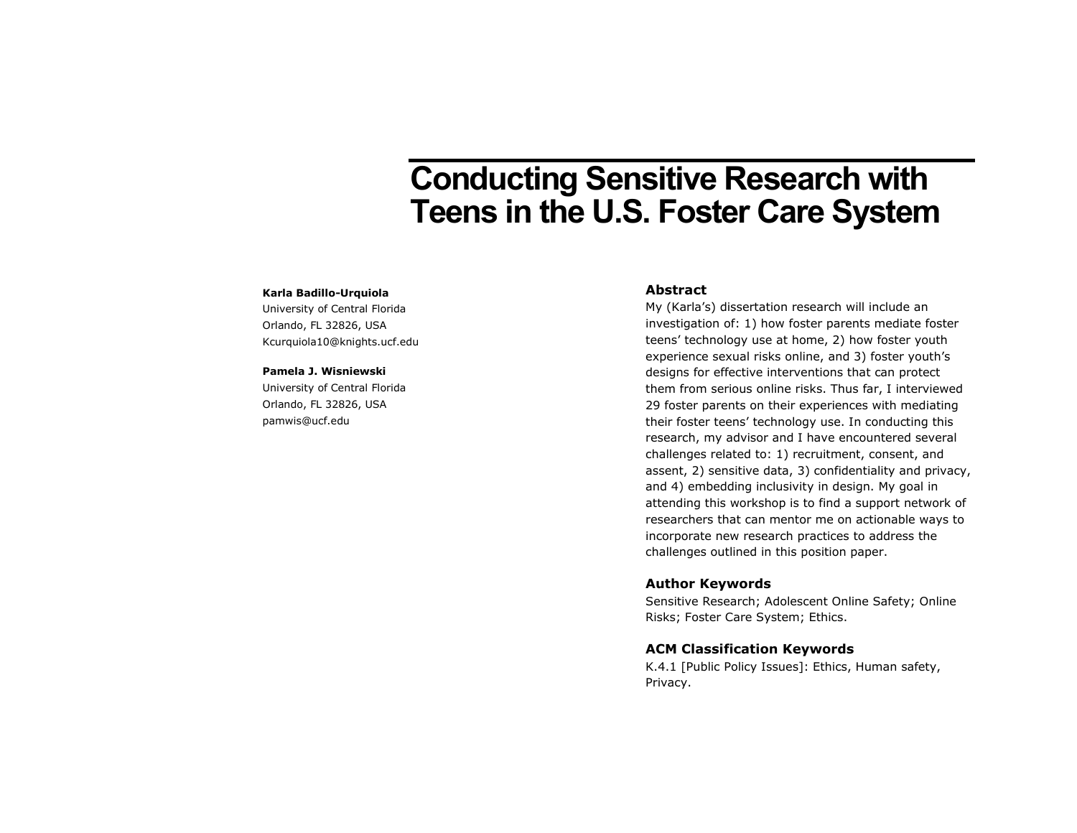# **Conducting Sensitive Research with Teens in the U.S. Foster Care System**

#### **Karla Badillo-Urquiola**

University of Central Florida Orlando, FL 32826, USA Kcurquiola10@knights.ucf.edu

#### **Pamela J. Wisniewski**

University of Central Florida Orlando, FL 32826, USA pamwis@ucf.edu

## **Abstract**

My (Karla's) dissertation research will include an investigation of: 1) how foster parents mediate foster teens' technology use at home, 2) how foster youth experience sexual risks online, and 3) foster youth's designs for effective interventions that can protect them from serious online risks. Thus far, I interviewed 29 foster parents on their experiences with mediating their foster teens' technology use. In conducting this research, my advisor and I have encountered several challenges related to: 1) recruitment, consent, and assent, 2) sensitive data, 3) confidentiality and privacy, and 4) embedding inclusivity in design. My goal in attending this workshop is to find a support network of researchers that can mentor me on actionable ways to incorporate new research practices to address the challenges outlined in this position paper.

## **Author Keywords**

Sensitive Research; Adolescent Online Safety; Online Risks; Foster Care System; Ethics.

## **ACM Classification Keywords**

K.4.1 [Public Policy Issues]: Ethics, Human safety, Privacy.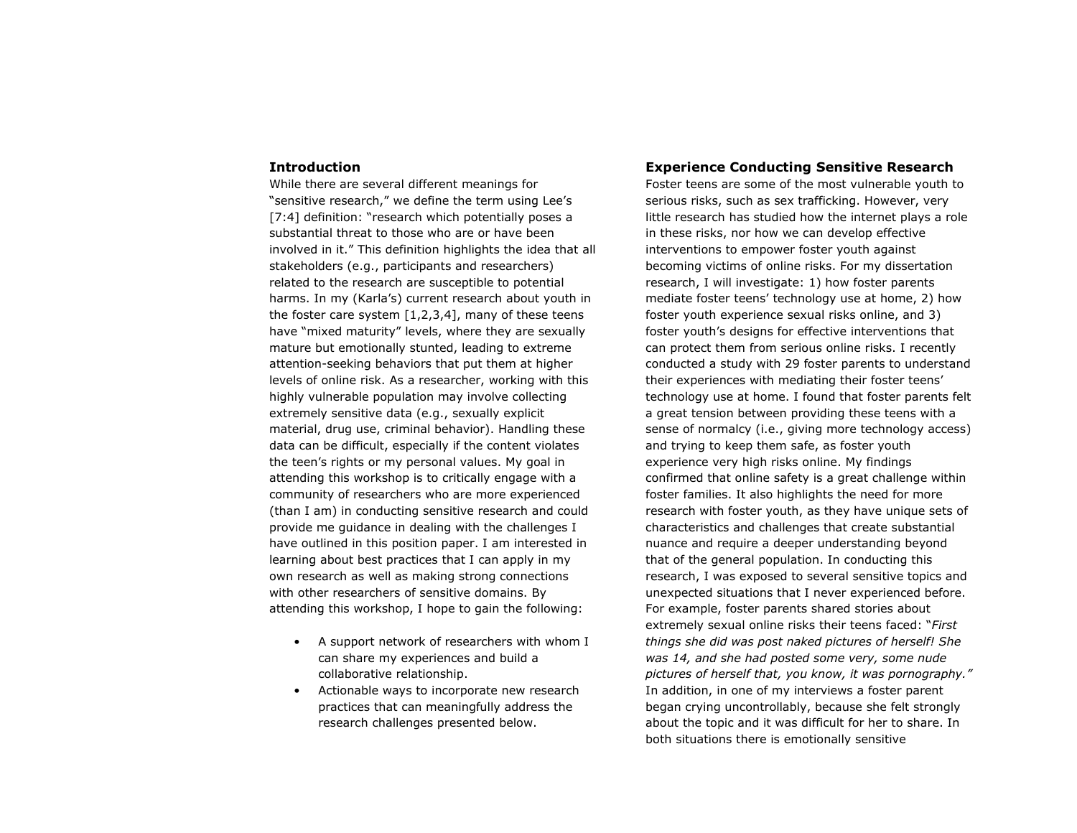### **Introduction**

While there are several different meanings for "sensitive research," we define the term using Lee's [7:4] definition: "research which potentially poses a substantial threat to those who are or have been involved in it." This definition highlights the idea that all stakeholders (e.g., participants and researchers) related to the research are susceptible to potential harms. In my (Karla's) current research about youth in the foster care system  $[1,2,3,4]$ , many of these teens have "mixed maturity" levels, where they are sexually mature but emotionally stunted, leading to extreme attention-seeking behaviors that put them at higher levels of online risk. As a researcher, working with this highly vulnerable population may involve collecting extremely sensitive data (e.g., sexually explicit material, drug use, criminal behavior). Handling these data can be difficult, especially if the content violates the teen's rights or my personal values. My goal in attending this workshop is to critically engage with a community of researchers who are more experienced (than I am) in conducting sensitive research and could provide me guidance in dealing with the challenges I have outlined in this position paper. I am interested in learning about best practices that I can apply in my own research as well as making strong connections with other researchers of sensitive domains. By attending this workshop, I hope to gain the following:

- A support network of researchers with whom I can share my experiences and build a collaborative relationship.
- Actionable ways to incorporate new research practices that can meaningfully address the research challenges presented below.

## **Experience Conducting Sensitive Research**

Foster teens are some of the most vulnerable youth to serious risks, such as sex trafficking. However, very little research has studied how the internet plays a role in these risks, nor how we can develop effective interventions to empower foster youth against becoming victims of online risks. For my dissertation research, I will investigate: 1) how foster parents mediate foster teens' technology use at home, 2) how foster youth experience sexual risks online, and 3) foster youth's designs for effective interventions that can protect them from serious online risks. I recently conducted a study with 29 foster parents to understand their experiences with mediating their foster teens' technology use at home. I found that foster parents felt a great tension between providing these teens with a sense of normalcy (i.e., giving more technology access) and trying to keep them safe, as foster youth experience very high risks online. My findings confirmed that online safety is a great challenge within foster families. It also highlights the need for more research with foster youth, as they have unique sets of characteristics and challenges that create substantial nuance and require a deeper understanding beyond that of the general population. In conducting this research, I was exposed to several sensitive topics and unexpected situations that I never experienced before. For example, foster parents shared stories about extremely sexual online risks their teens faced: "*First things she did was post naked pictures of herself! She was 14, and she had posted some very, some nude pictures of herself that, you know, it was pornography."* In addition, in one of my interviews a foster parent began crying uncontrollably, because she felt strongly about the topic and it was difficult for her to share. In both situations there is emotionally sensitive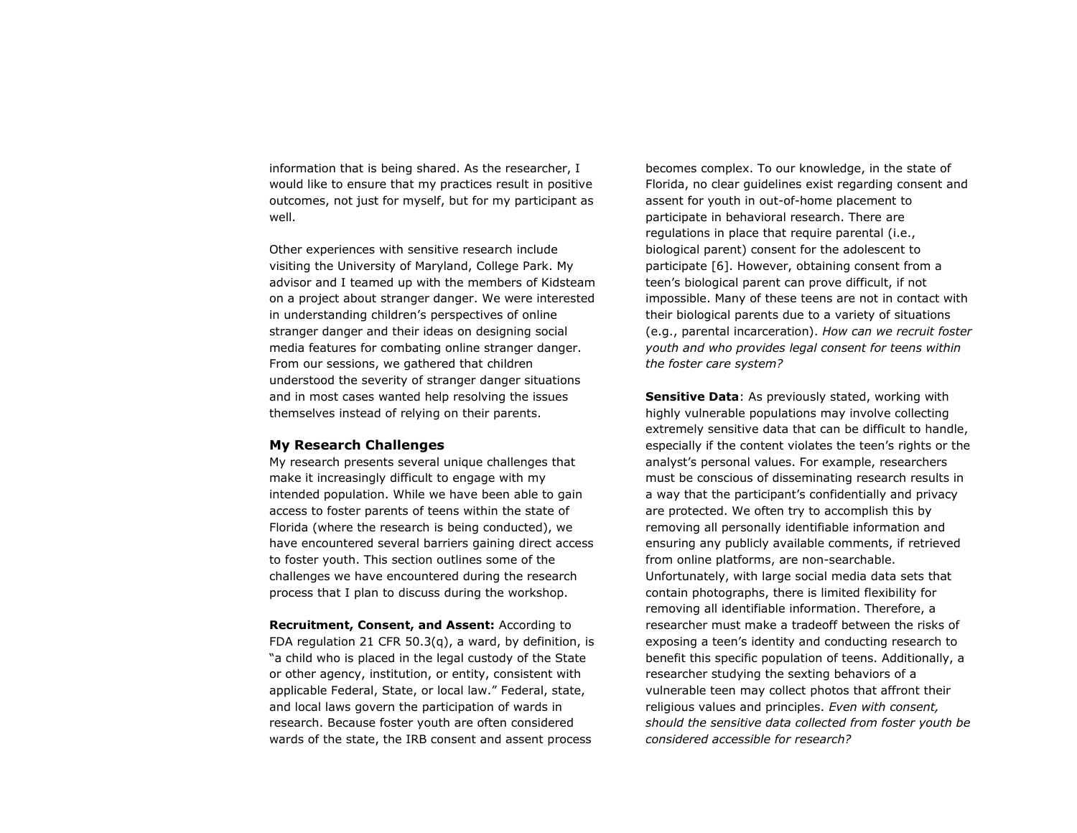information that is being shared. As the researcher, I would like to ensure that my practices result in positive outcomes, not just for myself, but for my participant as well.

Other experiences with sensitive research include visiting the University of Maryland, College Park. My advisor and I teamed up with the members of Kidsteam on a project about stranger danger. We were interested in understanding children's perspectives of online stranger danger and their ideas on designing social media features for combating online stranger danger. From our sessions, we gathered that children understood the severity of stranger danger situations and in most cases wanted help resolving the issues themselves instead of relying on their parents.

## **My Research Challenges**

My research presents several unique challenges that make it increasingly difficult to engage with my intended population. While we have been able to gain access to foster parents of teens within the state of Florida (where the research is being conducted), we have encountered several barriers gaining direct access to foster youth. This section outlines some of the challenges we have encountered during the research process that I plan to discuss during the workshop.

**Recruitment, Consent, and Assent:** According to FDA regulation 21 CFR 50.3(q), a ward, by definition, is "a child who is placed in the legal custody of the State or other agency, institution, or entity, consistent with applicable Federal, State, or local law." Federal, state, and local laws govern the participation of wards in research. Because foster youth are often considered wards of the state, the IRB consent and assent process

becomes complex. To our knowledge, in the state of Florida, no clear guidelines exist regarding consent and assent for youth in out-of-home placement to participate in behavioral research. There are regulations in place that require parental (i.e., biological parent) consent for the adolescent to participate [6]. However, obtaining consent from a teen's biological parent can prove difficult, if not impossible. Many of these teens are not in contact with their biological parents due to a variety of situations (e.g., parental incarceration). *How can we recruit foster youth and who provides legal consent for teens within the foster care system?*

**Sensitive Data**: As previously stated, working with highly vulnerable populations may involve collecting extremely sensitive data that can be difficult to handle, especially if the content violates the teen's rights or the analyst's personal values. For example, researchers must be conscious of disseminating research results in a way that the participant's confidentially and privacy are protected. We often try to accomplish this by removing all personally identifiable information and ensuring any publicly available comments, if retrieved from online platforms, are non-searchable. Unfortunately, with large social media data sets that contain photographs, there is limited flexibility for removing all identifiable information. Therefore, a researcher must make a tradeoff between the risks of exposing a teen's identity and conducting research to benefit this specific population of teens. Additionally, a researcher studying the sexting behaviors of a vulnerable teen may collect photos that affront their religious values and principles. *Even with consent, should the sensitive data collected from foster youth be considered accessible for research?*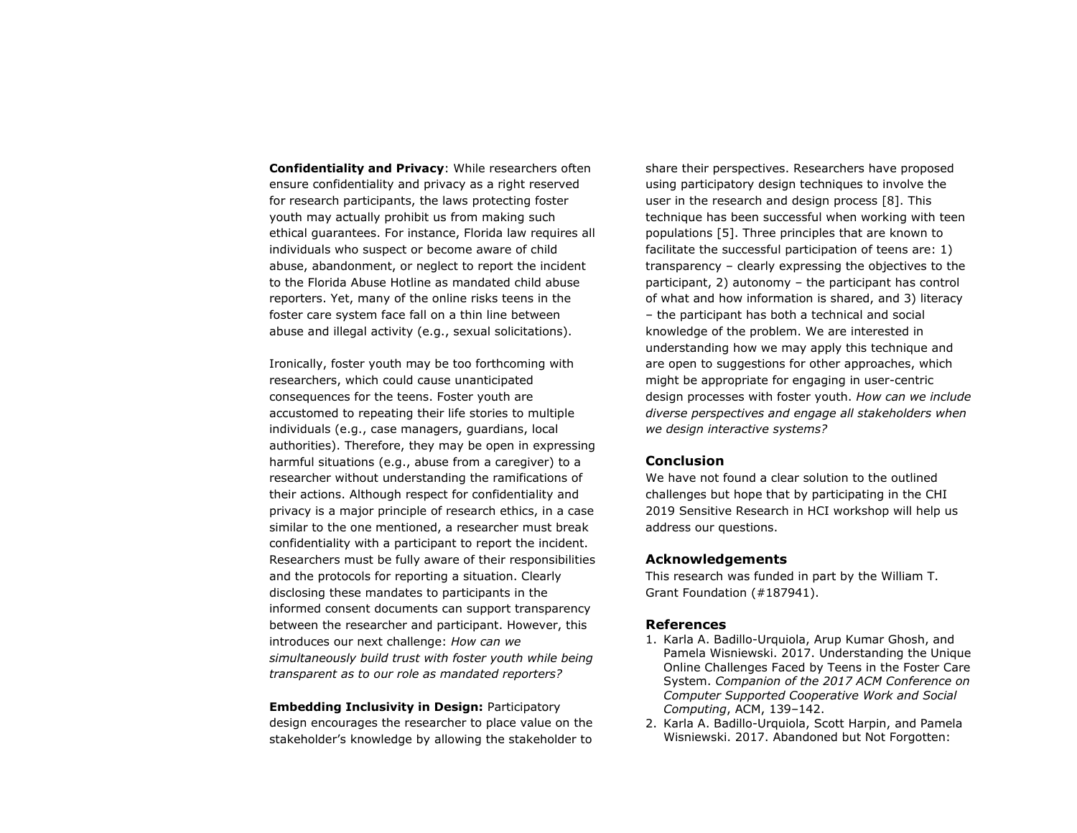**Confidentiality and Privacy**: While researchers often ensure confidentiality and privacy as a right reserved for research participants, the laws protecting foster youth may actually prohibit us from making such ethical guarantees. For instance, Florida law requires all individuals who suspect or become aware of child abuse, abandonment, or neglect to report the incident to the Florida Abuse Hotline as mandated child abuse reporters. Yet, many of the online risks teens in the foster care system face fall on a thin line between abuse and illegal activity (e.g., sexual solicitations).

Ironically, foster youth may be too forthcoming with researchers, which could cause unanticipated consequences for the teens. Foster youth are accustomed to repeating their life stories to multiple individuals (e.g., case managers, guardians, local authorities). Therefore, they may be open in expressing harmful situations (e.g., abuse from a caregiver) to a researcher without understanding the ramifications of their actions. Although respect for confidentiality and privacy is a major principle of research ethics, in a case similar to the one mentioned, a researcher must break confidentiality with a participant to report the incident. Researchers must be fully aware of their responsibilities and the protocols for reporting a situation. Clearly disclosing these mandates to participants in the informed consent documents can support transparency between the researcher and participant. However, this introduces our next challenge: *How can we simultaneously build trust with foster youth while being transparent as to our role as mandated reporters?*

**Embedding Inclusivity in Design:** Participatory design encourages the researcher to place value on the stakeholder's knowledge by allowing the stakeholder to

share their perspectives. Researchers have proposed using participatory design techniques to involve the user in the research and design process [8]. This technique has been successful when working with teen populations [5]. Three principles that are known to facilitate the successful participation of teens are: 1) transparency – clearly expressing the objectives to the participant, 2) autonomy – the participant has control of what and how information is shared, and 3) literacy – the participant has both a technical and social knowledge of the problem. We are interested in understanding how we may apply this technique and are open to suggestions for other approaches, which might be appropriate for engaging in user-centric design processes with foster youth. *How can we include diverse perspectives and engage all stakeholders when we design interactive systems?*

## **Conclusion**

We have not found a clear solution to the outlined challenges but hope that by participating in the CHI 2019 Sensitive Research in HCI workshop will help us address our questions.

## **Acknowledgements**

This research was funded in part by the William T. Grant Foundation (#187941).

## **References**

- 1. Karla A. Badillo-Urquiola, Arup Kumar Ghosh, and Pamela Wisniewski. 2017. Understanding the Unique Online Challenges Faced by Teens in the Foster Care System. *Companion of the 2017 ACM Conference on Computer Supported Cooperative Work and Social Computing*, ACM, 139–142.
- 2. Karla A. Badillo-Urquiola, Scott Harpin, and Pamela Wisniewski. 2017. Abandoned but Not Forgotten: